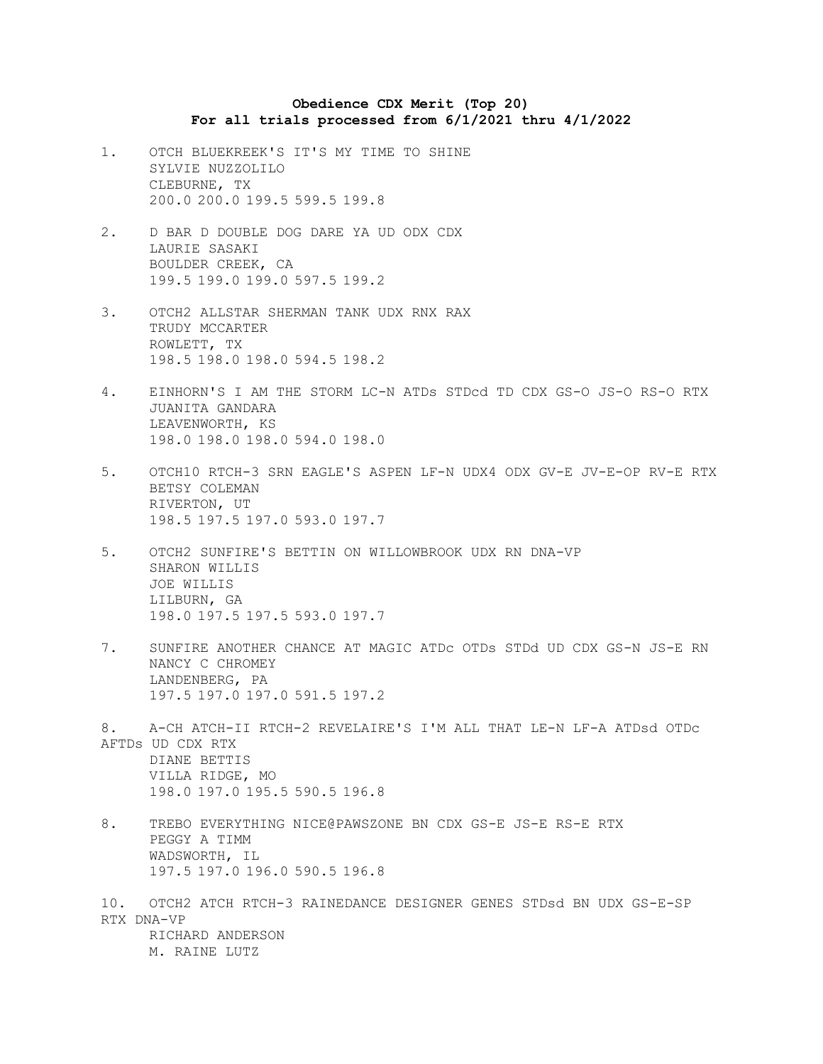## **Obedience CDX Merit (Top 20) For all trials processed from 6/1/2021 thru 4/1/2022**

- 1. OTCH BLUEKREEK'S IT'S MY TIME TO SHINE SYLVIE NUZZOLILO CLEBURNE, TX 200.0 200.0 199.5 599.5 199.8
- 2. D BAR D DOUBLE DOG DARE YA UD ODX CDX LAURIE SASAKI BOULDER CREEK, CA 199.5 199.0 199.0 597.5 199.2
- 3. OTCH2 ALLSTAR SHERMAN TANK UDX RNX RAX TRUDY MCCARTER ROWLETT, TX 198.5 198.0 198.0 594.5 198.2
- 4. EINHORN'S I AM THE STORM LC-N ATDs STDcd TD CDX GS-O JS-O RS-O RTX JUANITA GANDARA LEAVENWORTH, KS 198.0 198.0 198.0 594.0 198.0
- 5. OTCH10 RTCH-3 SRN EAGLE'S ASPEN LF-N UDX4 ODX GV-E JV-E-OP RV-E RTX BETSY COLEMAN RIVERTON, UT 198.5 197.5 197.0 593.0 197.7
- 5. OTCH2 SUNFIRE'S BETTIN ON WILLOWBROOK UDX RN DNA-VP SHARON WILLIS JOE WILLIS LILBURN, GA 198.0 197.5 197.5 593.0 197.7
- 7. SUNFIRE ANOTHER CHANCE AT MAGIC ATDc OTDs STDd UD CDX GS-N JS-E RN NANCY C CHROMEY LANDENBERG, PA 197.5 197.0 197.0 591.5 197.2
- 8. A-CH ATCH-II RTCH-2 REVELAIRE'S I'M ALL THAT LE-N LF-A ATDsd OTDc AFTDs UD CDX RTX DIANE BETTIS VILLA RIDGE, MO 198.0 197.0 195.5 590.5 196.8
- 8. TREBO EVERYTHING NICE@PAWSZONE BN CDX GS-E JS-E RS-E RTX PEGGY A TIMM WADSWORTH, IL 197.5 197.0 196.0 590.5 196.8
- 10. OTCH2 ATCH RTCH-3 RAINEDANCE DESIGNER GENES STDsd BN UDX GS-E-SP RTX DNA-VP RICHARD ANDERSON M. RAINE LUTZ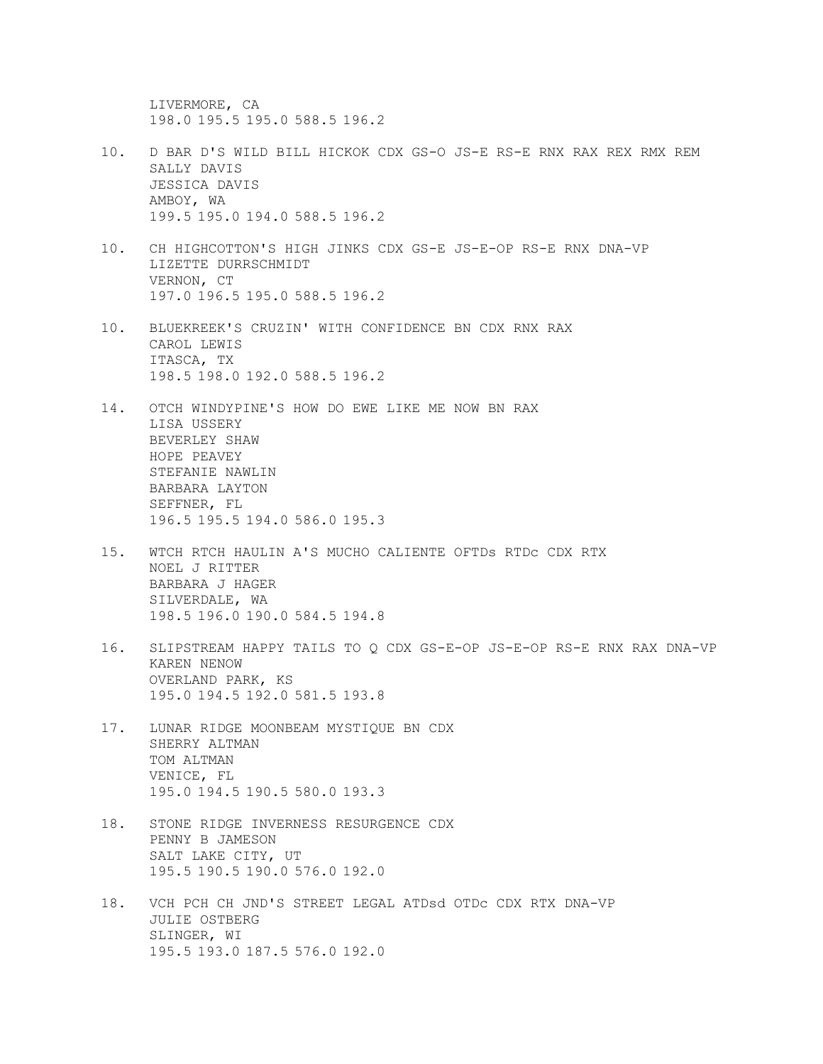LIVERMORE, CA 198.0 195.5 195.0 588.5 196.2

- 10. D BAR D'S WILD BILL HICKOK CDX GS-O JS-E RS-E RNX RAX REX RMX REM SALLY DAVIS JESSICA DAVIS AMBOY, WA 199.5 195.0 194.0 588.5 196.2
- 10. CH HIGHCOTTON'S HIGH JINKS CDX GS-E JS-E-OP RS-E RNX DNA-VP LIZETTE DURRSCHMIDT VERNON, CT 197.0 196.5 195.0 588.5 196.2
- 10. BLUEKREEK'S CRUZIN' WITH CONFIDENCE BN CDX RNX RAX CAROL LEWIS ITASCA, TX 198.5 198.0 192.0 588.5 196.2
- 14. OTCH WINDYPINE'S HOW DO EWE LIKE ME NOW BN RAX LISA USSERY BEVERLEY SHAW HOPE PEAVEY STEFANIE NAWLIN BARBARA LAYTON SEFFNER, FL 196.5 195.5 194.0 586.0 195.3
- 15. WTCH RTCH HAULIN A'S MUCHO CALIENTE OFTDs RTDc CDX RTX NOEL J RITTER BARBARA J HAGER SILVERDALE, WA 198.5 196.0 190.0 584.5 194.8
- 16. SLIPSTREAM HAPPY TAILS TO Q CDX GS-E-OP JS-E-OP RS-E RNX RAX DNA-VP KAREN NENOW OVERLAND PARK, KS 195.0 194.5 192.0 581.5 193.8
- 17. LUNAR RIDGE MOONBEAM MYSTIQUE BN CDX SHERRY ALTMAN TOM ALTMAN VENICE, FL 195.0 194.5 190.5 580.0 193.3
- 18. STONE RIDGE INVERNESS RESURGENCE CDX PENNY B JAMESON SALT LAKE CITY, UT 195.5 190.5 190.0 576.0 192.0
- 18. VCH PCH CH JND'S STREET LEGAL ATDsd OTDc CDX RTX DNA-VP JULIE OSTBERG SLINGER, WI 195.5 193.0 187.5 576.0 192.0